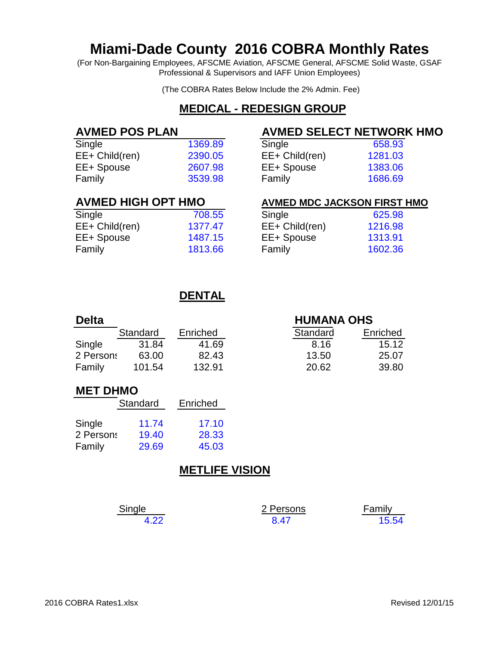# **Miami-Dade County 2016 COBRA Monthly Rates**

(For Non-Bargaining Employees, AFSCME Aviation, AFSCME General, AFSCME Solid Waste, GSAF Professional & Supervisors and IAFF Union Employees)

(The COBRA Rates Below Include the 2% Admin. Fee)

## **MEDICAL - REDESIGN GROUP**

| 658.93  |
|---------|
| 1281.03 |
| 1383.06 |
| 1686.69 |
|         |

### **AVMED POS PLAN AVMED SELECT NETWORK HMO**

| Single         | 658.93  |
|----------------|---------|
| EE+ Child(ren) | 1281.03 |
| EE+ Spouse     | 1383.06 |
| Family         | 1686.69 |

| Single         | 708.55  | Single         | 625.98  |
|----------------|---------|----------------|---------|
| EE+ Child(ren) | 1377.47 | EE+ Child(ren) | 1216.98 |
| EE+ Spouse     | 1487.15 | EE+ Spouse     | 1313.91 |
| Family         | 1813.66 | Family         | 1602.36 |

# **AVMED HIGH OPT HMO AVMED MDC JACKSON FIRST HMO**

| Single         | 625.98  |
|----------------|---------|
| EE+ Child(ren) | 1216.98 |
| EE+ Spouse     | 1313.91 |
| Family         | 1602.36 |

## **DENTAL**

| <b>Delta</b> |          |          | <b>HUMANA OHS</b>    |  |
|--------------|----------|----------|----------------------|--|
|              | Standard | Enriched | Standard<br>Enriched |  |
| Single       | 31.84    | 41.69    | 15.12<br>8.16        |  |
| 2 Persons    | 63.00    | 82.43    | 13.50<br>25.07       |  |
| Family       | 101.54   | 132.91   | 39.80<br>20.62       |  |

### **MET DHMO**

|           | Standard | Enriched |
|-----------|----------|----------|
| Single    | 11.74    | 17.10    |
| 2 Persons | 19.40    | 28.33    |
| Family    | 29.69    | 45.03    |

## **METLIFE VISION**

| Single | 2 Persons | Family |
|--------|-----------|--------|
| 4.22   | 8.47      | 15.54  |